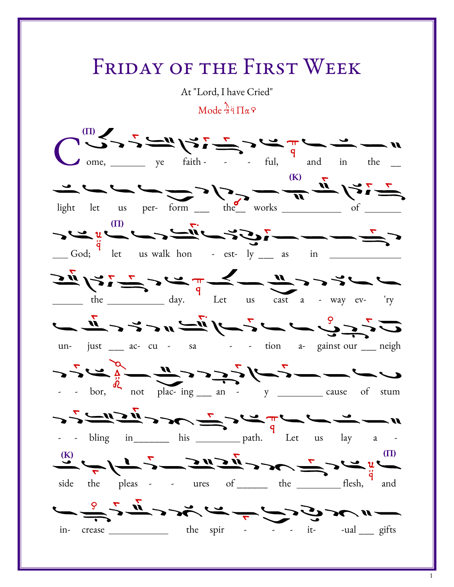## FRIDAY OF THE FIRST WEEK

At "Lord, I have Cried"

 $\text{Mode } \frac{\lambda}{\eta}$   $\frac{\lambda}{\eta}$   $\frac{\lambda}{\eta}$ 

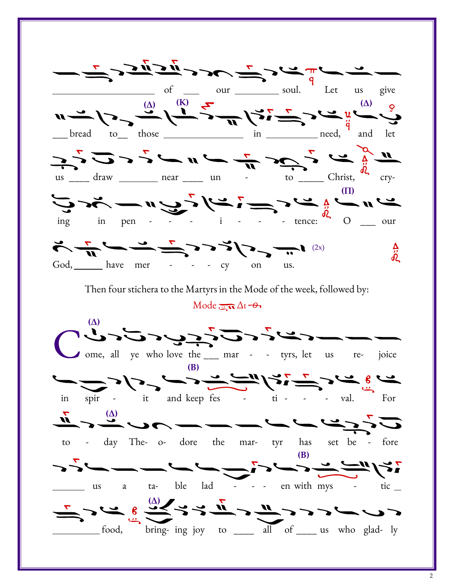

2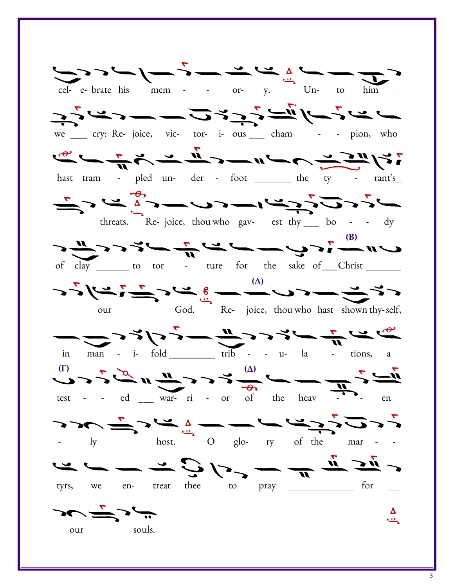![](_page_2_Figure_0.jpeg)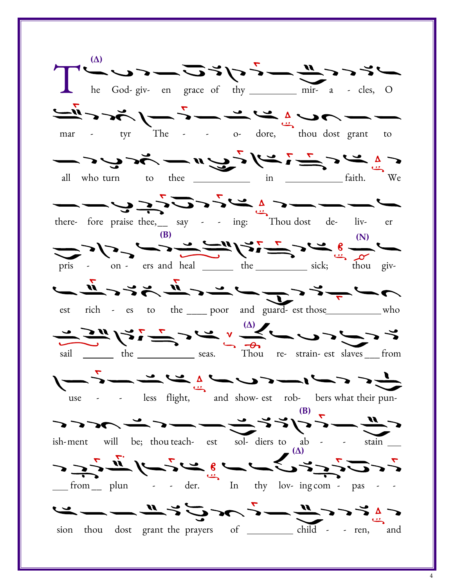(Δ) he God-giv- en grace of thy \_\_\_\_\_\_\_\_\_\_ mir- a - cles, O  $\frac{1}{\sqrt{m}}$   $\frac{1}{\sqrt{m}}$   $\frac{1}{\sqrt{m}}$   $\frac{1}{\sqrt{m}}$   $\frac{1}{\sqrt{m}}$   $\frac{1}{\sqrt{m}}$   $\frac{1}{\sqrt{m}}$   $\frac{1}{\sqrt{m}}$   $\frac{1}{\sqrt{m}}$   $\frac{1}{\sqrt{m}}$   $\frac{1}{\sqrt{m}}$   $\frac{1}{\sqrt{m}}$   $\frac{1}{\sqrt{m}}$   $\frac{1}{\sqrt{m}}$   $\frac{1}{\sqrt{m}}$   $\frac{1}{\sqrt{m}}$   $\frac{1}{\sqrt{m}}$  all who turn to thee  $\frac{1}{\sqrt{2}}\sqrt{\frac{1}{2}}$  in  $\frac{1}{\sqrt{2}}\sqrt{\frac{1}{2}}$  faith. there- fore praise thee, say - - ing: Thou dost de- liv- er  $(B)$  (N) pris - on - ers and heal \_\_\_\_\_\_ the \_\_\_\_\_\_\_\_\_\_ sick; thou giv- $\begin{array}{c} \mathcal{L} \rightarrow \mathcal{L} \rightarrow \mathcal{L} \rightarrow \mathcal{L} \rightarrow \mathcal{L} \rightarrow \mathcal{L} \rightarrow \mathcal{L} \rightarrow \mathcal{L} \rightarrow \mathcal{L} \rightarrow \mathcal{L} \rightarrow \mathcal{L} \rightarrow \mathcal{L} \rightarrow \mathcal{L} \rightarrow \mathcal{L} \rightarrow \mathcal{L} \rightarrow \mathcal{L} \rightarrow \mathcal{L} \rightarrow \mathcal{L} \rightarrow \mathcal{L} \rightarrow \mathcal{L} \rightarrow \mathcal{L} \rightarrow \mathcal{L} \rightarrow \mathcal{L} \rightarrow \mathcal{L} \rightarrow \mathcal{L} \rightarrow \mathcal{L} \rightarrow \mathcal{L$ est rich - es to the \_\_\_\_ poor and guard- est those \_\_\_\_\_\_\_\_\_ who  $\frac{1}{2}$   $\frac{1}{2}$   $\frac{1}{2}$   $\frac{1}{2}$   $\frac{1}{2}$   $\frac{1}{2}$   $\frac{1}{2}$   $\frac{1}{2}$   $\frac{1}{2}$   $\frac{1}{2}$   $\frac{1}{2}$   $\frac{1}{2}$   $\frac{1}{2}$   $\frac{1}{2}$   $\frac{1}{2}$ sail \_\_\_\_\_\_ the \_\_\_\_\_\_\_\_\_\_\_ seas. Thou re- strain- est slaves \_\_\_ from  $\sum_{use}$  - less flight, and show- est rob- bers what their pun-(Β) ish-ment will be; thou teach- est sol- diers to ab - - stain (Δ) from\_\_ plun - - der. In thy lov ing com - pas - -  $\frac{11}{\sqrt{2}}$  sion thou dost grant the prayers of child - - ren, and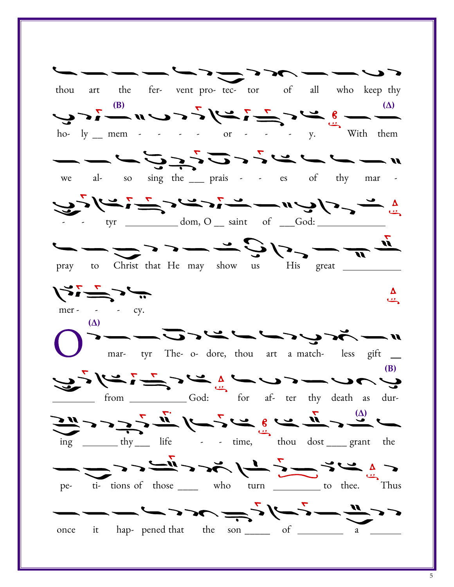![](_page_4_Figure_0.jpeg)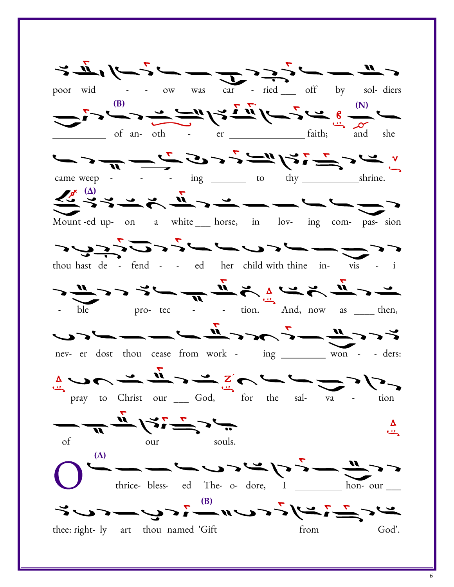$\sigma = -\frac{u}{2} \frac{1}{2} \frac{u}{2} \left( \frac{u}{2} - \frac{u}{2} \right) \left( \frac{u}{2} - \frac{u}{2} \right) \left( \frac{u}{2} - \frac{u}{2} \right)$ poor wid - - ow was car - ried \_\_\_ off by sol- diers (B)  $\qquad \qquad \qquad \qquad \qquad \nabla \cdot \nabla \cdot \qquad \qquad \nabla \qquad \qquad (N)$ of an- oth - er \_\_\_\_\_\_\_\_\_\_\_\_\_\_\_\_\_\_\_\_ faith; and she フリーディングリューション came weep -  $\cdot$  -  $\cdot$  ing  $\frac{1}{\sqrt{2\pi}}$  to thy  $\frac{1}{\sqrt{2\pi}}$  shrine.  $\frac{1}{\sqrt{2}}\sum_{i=1}^N\frac{1}{i} \sum_{i=1}^N\frac{1}{i} \sum_{i=1}^N\frac{1}{i} \sum_{i=1}^N\frac{1}{i} \sum_{i=1}^N\frac{1}{i} \sum_{i=1}^N\frac{1}{i} \sum_{i=1}^N\frac{1}{i} \sum_{i=1}^N\frac{1}{i} \sum_{i=1}^N\frac{1}{i} \sum_{i=1}^N\frac{1}{i} \sum_{i=1}^N\frac{1}{i} \sum_{i=1}^N\frac{1}{i} \sum_{i=1}^N\frac{1}{i} \sum$ Mount -ed up- on a white horse, in lov- ing com- pas- sion へんりーノトラノノハロバット thou hast de - fend - - ed her child with thine in- vis - i  $\frac{1}{\sqrt{n}}\sum_{i=1}^n\sum_{j=1}^n\sum_{j=1}^n\frac{1}{\sqrt{n}}\sum_{j=1}^n\sum_{j=1}^n\frac{1}{\sqrt{n}}\sum_{j=1}^n\sum_{j=1}^n\frac{1}{\sqrt{n}}\sum_{j=1}^n\sum_{j=1}^n\frac{1}{\sqrt{n}}\sum_{j=1}^n\frac{1}{\sqrt{n}}\sum_{j=1}^n\frac{1}{\sqrt{n}}\sum_{j=1}^n\frac{1}{\sqrt{n}}\sum_{j=1}^n\frac{1}{\sqrt{n}}\sum_{j=1}^n\frac{1}{\sqrt{n}}\sum_{j$ ble \_\_\_\_\_\_ pro- tec - - tion. And, now as \_\_\_\_ then, nev- er dost thou cease from work - ing won - - ders:  $\frac{1}{2}$   $\frac{1}{2}$   $\frac{1}{2}$   $\frac{1}{2}$   $\frac{1}{2}$   $\frac{1}{2}$   $\frac{1}{2}$   $\frac{1}{2}$   $\frac{1}{2}$   $\frac{1}{2}$   $\frac{1}{2}$   $\frac{1}{2}$   $\frac{1}{2}$   $\frac{1}{2}$   $\frac{1}{2}$   $\frac{1}{2}$   $\frac{1}{2}$   $\frac{1}{2}$   $\frac{1}{2}$   $\frac{1}{2}$   $\frac{1}{2}$   $\frac{1}{2}$  ーデュジニンナ Δ رومی of \_\_\_\_\_\_\_\_\_\_\_\_ our \_\_\_\_\_\_\_\_\_\_ souls.  $\zeta<\frac{n}{\omega}$   $-\zeta<\beta$   $\Rightarrow$   $\zeta<\omega$   $\Rightarrow$   $-\zeta<\frac{n}{\omega}$ thrice- bless- ed The- o- dore,  $\overrightarrow{I}$  \_\_\_\_\_ hon- our \_\_\_ سے کے تاسی کے اس کے اس کے اسے تعلیم کے مسائی کے مسائی کے اس کے اس کے مسائی کے مسائی کے مسلمان کے مسا thee: right- ly art thou named 'Gift \_\_\_\_\_\_\_\_\_\_\_\_\_\_\_ from \_\_\_\_\_\_\_\_\_\_\_God'.

6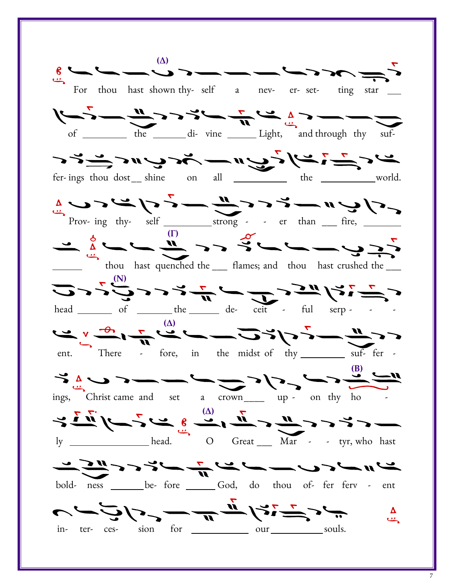$-\sim$   $-\sim$   $-\sim$   $-\sim$   $\sim$   $\sim$   $\sim$   $\sim$ For thou hast shown thy- self a nev- er- set- ting star  $\begin{array}{c} \sqrt{2} & \sqrt{2} & \sqrt{2} & \sqrt{2} & \sqrt{2} & \sqrt{2} & \sqrt{2} & \sqrt{2} & \sqrt{2} & \sqrt{2} & \sqrt{2} & \sqrt{2} & \sqrt{2} & \sqrt{2} & \sqrt{2} & \sqrt{2} & \sqrt{2} & \sqrt{2} & \sqrt{2} & \sqrt{2} & \sqrt{2} & \sqrt{2} & \sqrt{2} & \sqrt{2} & \sqrt{2} & \sqrt{2} & \sqrt{2} & \sqrt{2} & \sqrt{2} & \sqrt{2} & \sqrt{2} & \sqrt{2} & \sqrt{2} & \sqrt{2} & \sqrt{2} & \sqrt{$ of <u>the di-</u> vine Light, and through thy suf-シュニュンティングーミング fer-ings thou dost shine on all world. Prov- ing thy-  $\text{self}$  \_\_\_\_\_\_\_\_\_\_\_\_\_strong - - er than \_\_\_ fire, (Γ) thou hast quenched the \_\_\_ flames; and thou hast crushed the \_\_\_  $(1 - \frac{1}{2})^2$  ( N)  $(1 - \frac{1}{2})^2$  ( N)  $(1 - \frac{1}{2})^2$  ( N)  $(1 - \frac{1}{2})^2$ head \_\_\_\_\_\_\_\_\_ of \_\_\_\_\_\_\_\_ the \_\_\_\_\_\_\_ de- ceit - ful serp - - -سے دیکھیے ہے کہ اس کے اس کے ایک میرے کا کہنا ہے کہ اس کے اس کے اس کے اس کے اس کے اس کے کام کرنے کے اس کے کام ک<br>میرے کے اس کے اس کے اس کے اس کے اس کے اس کے اس کے کام کرنے کے بارے کے اس کے اس کے بارے کے اس کے کام کرنے کے اس ent. There - fore, in the midst of thy suf-fer - $\frac{1}{2}\frac{1}{2}$ ings, Christ came and set a crown\_\_\_\_ up - on thy ho - (Δ) ly \_\_\_\_\_\_\_\_\_\_\_\_\_\_\_\_\_\_head. O Great \_\_\_ Mar - - tyr, who hast リニートレーノリートルトハット bold- ness \_\_\_\_\_\_ be- fore \_\_\_\_\_ God, do thou of- fer ferv - ent ت حدید کے اس کے اس کے حراف کے ساتھ س  $\mathbf{C}$ in- ter- ces- sion for which are not the souls.

7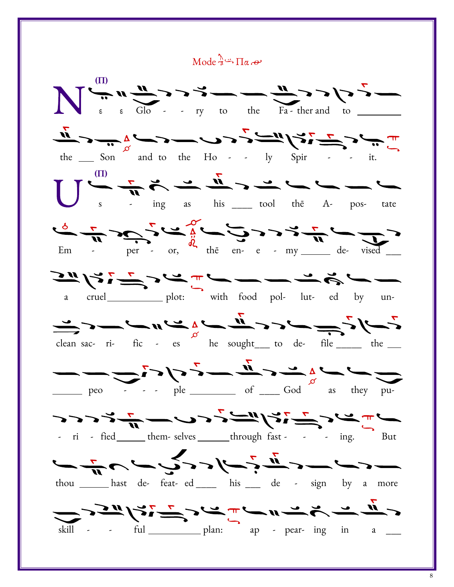$Mode \overset{\Lambda}{\rightarrow} \Pi_{\alpha} \rightarrow$ 

![](_page_7_Figure_1.jpeg)